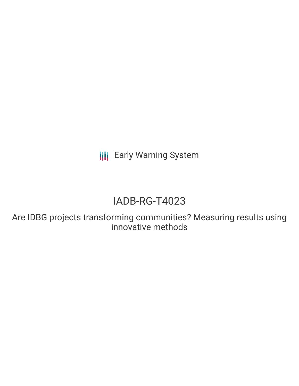**III** Early Warning System

# IADB-RG-T4023

Are IDBG projects transforming communities? Measuring results using innovative methods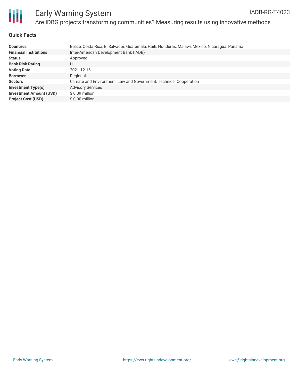

## Early Warning System Are IDBG projects transforming communities? Measuring results using innovative methods

#### **Quick Facts**

| <b>Countries</b>               | Belize, Costa Rica, El Salvador, Guatemala, Haiti, Honduras, Malawi, Mexico, Nicaragua, Panama |
|--------------------------------|------------------------------------------------------------------------------------------------|
| <b>Financial Institutions</b>  | Inter-American Development Bank (IADB)                                                         |
| <b>Status</b>                  | Approved                                                                                       |
| <b>Bank Risk Rating</b>        | U                                                                                              |
| <b>Voting Date</b>             | 2021-12-16                                                                                     |
| <b>Borrower</b>                | Regional                                                                                       |
| <b>Sectors</b>                 | Climate and Environment, Law and Government, Technical Cooperation                             |
| <b>Investment Type(s)</b>      | <b>Advisory Services</b>                                                                       |
| <b>Investment Amount (USD)</b> | $$0.09$ million                                                                                |
| <b>Project Cost (USD)</b>      | \$0.90 million                                                                                 |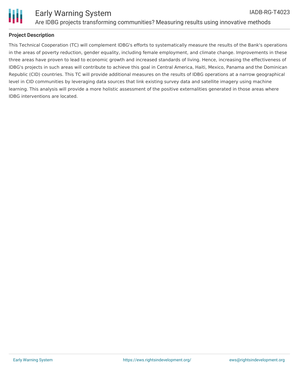

### **Project Description**

This Technical Cooperation (TC) will complement IDBG's efforts to systematically measure the results of the Bank's operations in the areas of poverty reduction, gender equality, including female employment, and climate change. Improvements in these three areas have proven to lead to economic growth and increased standards of living. Hence, increasing the effectiveness of IDBG's projects in such areas will contribute to achieve this goal in Central America, Haiti, Mexico, Panama and the Dominican Republic (CID) countries. This TC will provide additional measures on the results of IDBG operations at a narrow geographical level in CID communities by leveraging data sources that link existing survey data and satellite imagery using machine learning. This analysis will provide a more holistic assessment of the positive externalities generated in those areas where IDBG interventions are located.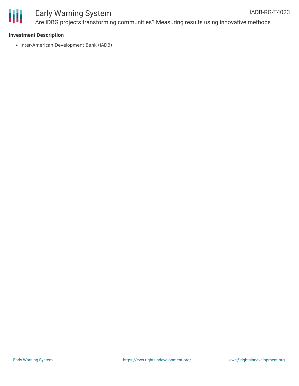

#### Early Warning System Are IDBG projects transforming communities? Measuring results using innovative methods IADB-RG-T4023

#### **Investment Description**

• Inter-American Development Bank (IADB)